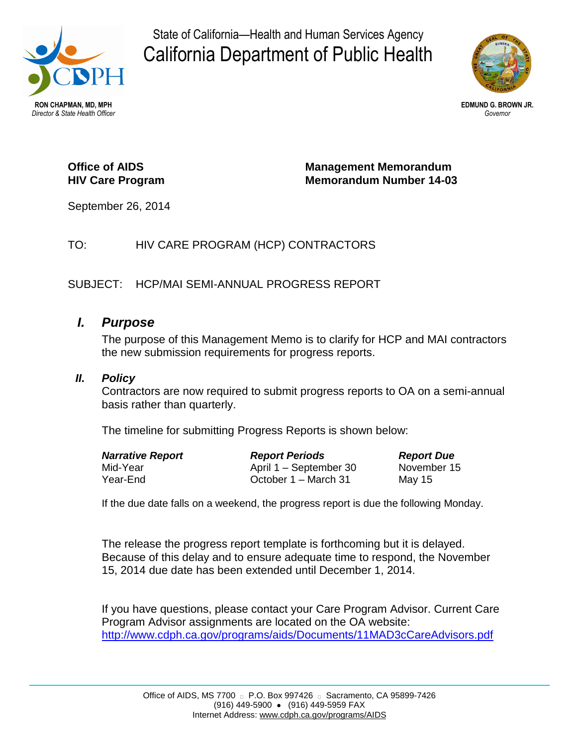

State of California—Health and Human Services Agency California Department of Public Health



### **Office of AIDS HIV Care Program**

**Management Memorandum Memorandum Number 14-03**

September 26, 2014

# TO: HIV CARE PROGRAM (HCP) CONTRACTORS

### SUBJECT: HCP/MAI SEMI-ANNUAL PROGRESS REPORT

# *I. Purpose*

The purpose of this Management Memo is to clarify for HCP and MAI contractors the new submission requirements for progress reports.

#### *II. Policy*

Contractors are now required to submit progress reports to OA on a semi-annual basis rather than quarterly.

The timeline for submitting Progress Reports is shown below:

| <b>Narrative Report</b> | <b>Report Periods</b>  | <b>Report Due</b> |
|-------------------------|------------------------|-------------------|
| Mid-Year                | April 1 – September 30 | November 15       |
| Year-End                | October 1 – March 31   | May 15            |

If the due date falls on a weekend, the progress report is due the following Monday.

The release the progress report template is forthcoming but it is delayed. Because of this delay and to ensure adequate time to respond, the November 15, 2014 due date has been extended until December 1, 2014.

If you have questions, please contact your Care Program Advisor. Current Care Program Advisor assignments are located on the OA website: <http://www.cdph.ca.gov/programs/aids/Documents/11MAD3cCareAdvisors.pdf>